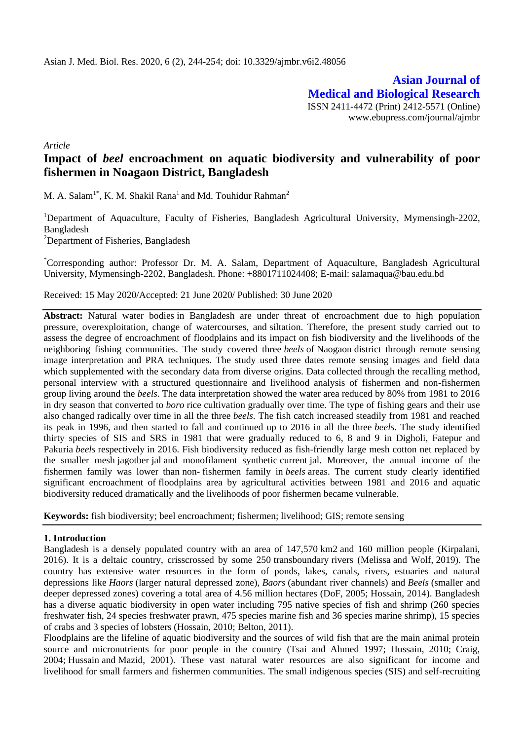**Asian Journal of Medical and Biological Research** ISSN 2411-4472 (Print) 2412-5571 (Online) www.ebupress.com/journal/ajmbr

*Article*

# **Impact of** *beel* **encroachment on aquatic biodiversity and vulnerability of poor fishermen in Noagaon District, Bangladesh**

M. A. Salam<sup>1\*</sup>, K. M. Shakil Rana<sup>1</sup> and Md. Touhidur Rahman<sup>2</sup>

<sup>1</sup>Department of Aquaculture, Faculty of Fisheries, Bangladesh Agricultural University, Mymensingh-2202, Bangladesh

<sup>2</sup>Department of Fisheries, Bangladesh

\*Corresponding author: Professor Dr. M. A. Salam, Department of Aquaculture, Bangladesh Agricultural University, Mymensingh-2202, Bangladesh. Phone: +8801711024408; E-mail: salamaqua@bau.edu.bd

Received: 15 May 2020/Accepted: 21 June 2020/ Published: 30 June 2020

**Abstract:** Natural water bodies in Bangladesh are under threat of encroachment due to high population pressure, overexploitation, change of watercourses, and siltation. Therefore, the present study carried out to assess the degree of encroachment of floodplains and its impact on fish biodiversity and the livelihoods of the neighboring fishing communities. The study covered three *beels* of Naogaon district through remote sensing image interpretation and PRA techniques. The study used three dates remote sensing images and field data which supplemented with the secondary data from diverse origins. Data collected through the recalling method, personal interview with a structured questionnaire and livelihood analysis of fishermen and non-fishermen group living around the *beels*. The data interpretation showed the water area reduced by 80% from 1981 to 2016 in dry season that converted to *boro* rice cultivation gradually over time. The type of fishing gears and their use also changed radically over time in all the three *beels*. The fish catch increased steadily from 1981 and reached its peak in 1996, and then started to fall and continued up to 2016 in all the three *beels*. The study identified thirty species of SIS and SRS in 1981 that were gradually reduced to 6, 8 and 9 in Digholi, Fatepur and Pakuria *beels* respectively in 2016. Fish biodiversity reduced as fish-friendly large mesh cotton net replaced by the smaller mesh jagotber jal and monofilament synthetic current jal. Moreover, the annual income of the fishermen family was lower than non- fishermen family in *beels* areas. The current study clearly identified significant encroachment of floodplains area by agricultural activities between 1981 and 2016 and aquatic biodiversity reduced dramatically and the livelihoods of poor fishermen became vulnerable.

**Keywords:** fish biodiversity; beel encroachment; fishermen; livelihood; GIS; remote sensing

## **1. Introduction**

Bangladesh is a densely populated country with an area of 147,570 km2 and 160 million people (Kirpalani, 2016). It is a deltaic country, crisscrossed by some 250 transboundary rivers (Melissa and Wolf, 2019). The country has extensive water resources in the form of ponds, lakes, canals, rivers, estuaries and natural depressions like *Haors* (larger natural depressed zone), *Baors* (abundant river channels) and *Beels* (smaller and deeper depressed zones) covering a total area of 4.56 million hectares (DoF, 2005; Hossain, 2014). Bangladesh has a diverse aquatic biodiversity in open water including 795 native species of fish and shrimp (260 species freshwater fish, 24 species freshwater prawn, 475 species marine fish and 36 species marine shrimp), 15 species of crabs and 3 species of lobsters (Hossain, 2010; Belton, 2011).

Floodplains are the lifeline of aquatic biodiversity and the sources of wild fish that are the main animal protein source and micronutrients for poor people in the country (Tsai and Ahmed 1997; Hussain, 2010; Craig, 2004; Hussain and Mazid, 2001). These vast natural water resources are also significant for income and livelihood for small farmers and fishermen communities. The small indigenous species (SIS) and self-recruiting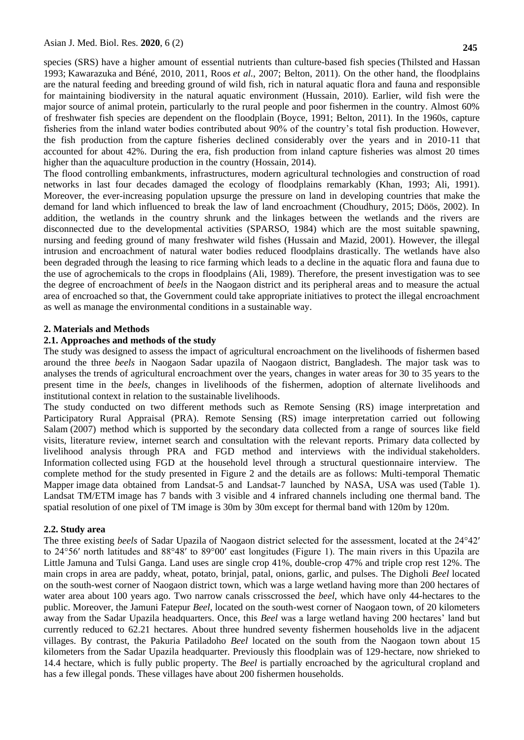**245**

species (SRS) have a higher amount of essential nutrients than culture-based fish species (Thilsted and Hassan 1993; Kawarazuka and Béné, 2010, 2011, Roos *et al.*, 2007; Belton, 2011). On the other hand, the floodplains are the natural feeding and breeding ground of wild fish, rich in natural aquatic flora and fauna and responsible for maintaining biodiversity in the natural aquatic environment (Hussain, 2010). Earlier, wild fish were the major source of animal protein, particularly to the rural people and poor fishermen in the country. Almost 60% of freshwater fish species are dependent on the floodplain (Boyce, 1991; Belton, 2011). In the 1960s, capture fisheries from the inland water bodies contributed about 90% of the country's total fish production. However, the fish production from the capture fisheries declined considerably over the years and in 2010-11 that accounted for about 42%. During the era, fish production from inland capture fisheries was almost 20 times higher than the aquaculture production in the country (Hossain, 2014).

The flood controlling embankments, infrastructures, modern agricultural technologies and construction of road networks in last four decades damaged the ecology of floodplains remarkably (Khan, 1993; Ali, 1991). Moreover, the ever-increasing population upsurge the pressure on land in developing countries that make the demand for land which influenced to break the law of land encroachment (Choudhury, 2015; Döös, 2002). In addition, the wetlands in the country shrunk and the linkages between the wetlands and the rivers are disconnected due to the developmental activities (SPARSO, 1984) which are the most suitable spawning, nursing and feeding ground of many freshwater wild fishes (Hussain and Mazid, 2001). However, the illegal intrusion and encroachment of natural water bodies reduced floodplains drastically. The wetlands have also been degraded through the leasing to rice farming which leads to a decline in the aquatic flora and fauna due to the use of agrochemicals to the crops in floodplains (Ali, 1989). Therefore, the present investigation was to see the degree of encroachment of *beels* in the Naogaon district and its peripheral areas and to measure the actual area of encroached so that, the Government could take appropriate initiatives to protect the illegal encroachment as well as manage the environmental conditions in a sustainable way.

## **2. Materials and Methods**

## **2.1. Approaches and methods of the study**

The study was designed to assess the impact of agricultural encroachment on the livelihoods of fishermen based around the three *beels* in Naogaon Sadar upazila of Naogaon district, Bangladesh. The major task was to analyses the trends of agricultural encroachment over the years, changes in water areas for 30 to 35 years to the present time in the *beels*, changes in livelihoods of the fishermen, adoption of alternate livelihoods and institutional context in relation to the sustainable livelihoods.

The study conducted on two different methods such as Remote Sensing (RS) image interpretation and Participatory Rural Appraisal (PRA). Remote Sensing (RS) image interpretation carried out following Salam (2007) method which is supported by the secondary data collected from a range of sources like field visits, literature review, internet search and consultation with the relevant reports. Primary data collected by livelihood analysis through PRA and FGD method and interviews with the individual stakeholders. Information collected using FGD at the household level through a structural questionnaire interview. The complete method for the study presented in Figure 2 and the details are as follows: Multi-temporal Thematic Mapper image data obtained from Landsat-5 and Landsat-7 launched by NASA, USA was used (Table 1). Landsat TM/ETM image has 7 bands with 3 visible and 4 infrared channels including one thermal band. The spatial resolution of one pixel of TM image is 30m by 30m except for thermal band with 120m by 120m.

#### **2.2. Study area**

The three existing *beels* of Sadar Upazila of Naogaon district selected for the assessment, located at the 24°42′ to 24°56′ north latitudes and 88°48′ to 89°00′ east longitudes (Figure 1). The main rivers in this Upazila are Little Jamuna and Tulsi Ganga. Land uses are single crop 41%, double-crop 47% and triple crop rest 12%. The main crops in area are paddy, wheat, potato, brinjal, patal, onions, garlic, and pulses. The Digholi *Beel* located on the south-west corner of Naogaon district town, which was a large wetland having more than 200 hectares of water area about 100 years ago. Two narrow canals crisscrossed the *beel*, which have only 44-hectares to the public. Moreover, the Jamuni Fatepur *Beel*, located on the south-west corner of Naogaon town, of 20 kilometers away from the Sadar Upazila headquarters. Once, this *Beel* was a large wetland having 200 hectares' land but currently reduced to 62.21 hectares. About three hundred seventy fishermen households live in the adjacent villages. By contrast, the Pakuria Patiladoho *Beel* located on the south from the Naogaon town about 15 kilometers from the Sadar Upazila headquarter. Previously this floodplain was of 129-hectare, now shrieked to 14.4 hectare, which is fully public property. The *Beel* is partially encroached by the agricultural cropland and has a few illegal ponds. These villages have about 200 fishermen households.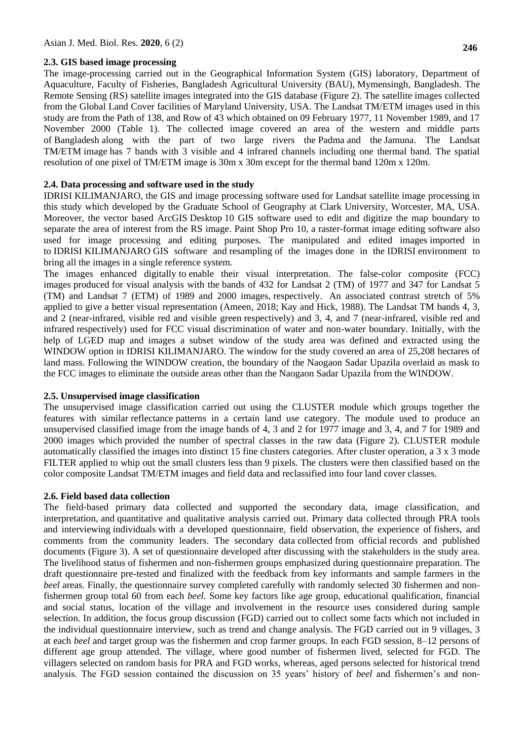#### **2.3. GIS based image processing**

The image-processing carried out in the Geographical Information System (GIS) laboratory, Department of Aquaculture, Faculty of Fisheries, Bangladesh Agricultural University (BAU), Mymensingh, Bangladesh. The Remote Sensing (RS) satellite images integrated into the GIS database (Figure 2). The satellite images collected from the Global Land Cover facilities of Maryland University, USA. The Landsat TM/ETM images used in this study are from the Path of 138, and Row of 43 which obtained on 09 February 1977, 11 November 1989, and 17 November 2000 (Table 1). The collected image covered an area of the western and middle parts of Bangladesh along with the part of two large rivers the Padma and the Jamuna. The Landsat TM/ETM image has 7 bands with 3 visible and 4 infrared channels including one thermal band. The spatial resolution of one pixel of TM/ETM image is 30m x 30m except for the thermal band 120m x 120m.

### **2.4. Data processing and software used in the study**

IDRISI KILIMANJARO, the GIS and image processing software used for Landsat satellite image processing in this study which developed by the Graduate School of Geography at Clark University, Worcester, MA, USA. Moreover, the vector based ArcGIS Desktop 10 GIS software used to edit and digitize the map boundary to separate the area of interest from the RS image. Paint Shop Pro 10, a raster-format image editing software also used for image processing and editing purposes. The manipulated and edited images imported in to IDRISI KILIMANJARO GIS software and resampling of the images done in the IDRISI environment to bring all the images in a single reference system.

The images enhanced digitally to enable their visual interpretation. The false-color composite (FCC) images produced for visual analysis with the bands of 432 for Landsat 2 (TM) of 1977 and 347 for Landsat 5 (TM) and Landsat 7 (ETM) of 1989 and 2000 images, respectively. An associated contrast stretch of 5% applied to give a better visual representation (Ameen, 2018; Kay and Hick, 1988). The Landsat TM bands 4, 3, and 2 (near-infrared, visible red and visible green respectively) and 3, 4, and 7 (near-infrared, visible red and infrared respectively) used for FCC visual discrimination of water and non-water boundary. Initially, with the help of LGED map and images a subset window of the study area was defined and extracted using the WINDOW option in IDRISI KILIMANJARO. The window for the study covered an area of 25,208 hectares of land mass. Following the WINDOW creation, the boundary of the Naogaon Sadar Upazila overlaid as mask to the FCC images to eliminate the outside areas other than the Naogaon Sadar Upazila from the WINDOW.

#### **2.5. Unsupervised image classification**

The unsupervised image classification carried out using the CLUSTER module which groups together the features with similar reflectance patterns in a certain land use category. The module used to produce an unsupervised classified image from the image bands of 4, 3 and 2 for 1977 image and 3, 4, and 7 for 1989 and 2000 images which provided the number of spectral classes in the raw data (Figure 2). CLUSTER module automatically classified the images into distinct 15 fine clusters categories. After cluster operation, a 3 x 3 mode FILTER applied to whip out the small clusters less than 9 pixels. The clusters were then classified based on the color composite Landsat TM/ETM images and field data and reclassified into four land cover classes.

### **2.6. Field based data collection**

The field-based primary data collected and supported the secondary data, image classification, and interpretation, and quantitative and qualitative analysis carried out. Primary data collected through PRA tools and interviewing individuals with a developed questionnaire, field observation, the experience of fishers, and comments from the community leaders. The secondary data collected from official records and published documents (Figure 3). A set of questionnaire developed after discussing with the stakeholders in the study area. The livelihood status of fishermen and non-fishermen groups emphasized during questionnaire preparation. The draft questionnaire pre-tested and finalized with the feedback from key informants and sample farmers in the *beel* areas. Finally, the questionnaire survey completed carefully with randomly selected 30 fishermen and nonfishermen group total 60 from each *beel*. Some key factors like age group, educational qualification, financial and social status, location of the village and involvement in the resource uses considered during sample selection. In addition, the focus group discussion (FGD) carried out to collect some facts which not included in the individual questionnaire interview, such as trend and change analysis. The FGD carried out in 9 villages, 3 at each *beel* and target group was the fishermen and crop farmer groups. In each FGD session, 8–12 persons of different age group attended. The village, where good number of fishermen lived, selected for FGD. The villagers selected on random basis for PRA and FGD works, whereas, aged persons selected for historical trend analysis. The FGD session contained the discussion on 35 years' history of *beel* and fishermen's and non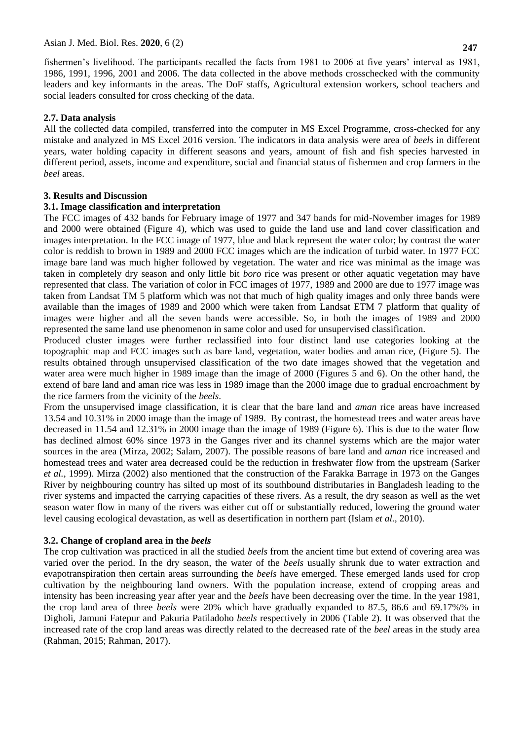fishermen's livelihood. The participants recalled the facts from 1981 to 2006 at five years' interval as 1981, 1986, 1991, 1996, 2001 and 2006. The data collected in the above methods crosschecked with the community leaders and key informants in the areas. The DoF staffs, Agricultural extension workers, school teachers and social leaders consulted for cross checking of the data.

## **2.7. Data analysis**

All the collected data compiled, transferred into the computer in MS Excel Programme, cross-checked for any mistake and analyzed in MS Excel 2016 version. The indicators in data analysis were area of *beels* in different years, water holding capacity in different seasons and years, amount of fish and fish species harvested in different period, assets, income and expenditure, social and financial status of fishermen and crop farmers in the *beel* areas.

## **3. Results and Discussion**

## **3.1. Image classification and interpretation**

The FCC images of 432 bands for February image of 1977 and 347 bands for mid-November images for 1989 and 2000 were obtained (Figure 4), which was used to guide the land use and land cover classification and images interpretation. In the FCC image of 1977, blue and black represent the water color; by contrast the water color is reddish to brown in 1989 and 2000 FCC images which are the indication of turbid water. In 1977 FCC image bare land was much higher followed by vegetation. The water and rice was minimal as the image was taken in completely dry season and only little bit *boro* rice was present or other aquatic vegetation may have represented that class. The variation of color in FCC images of 1977, 1989 and 2000 are due to 1977 image was taken from Landsat TM 5 platform which was not that much of high quality images and only three bands were available than the images of 1989 and 2000 which were taken from Landsat ETM 7 platform that quality of images were higher and all the seven bands were accessible. So, in both the images of 1989 and 2000 represented the same land use phenomenon in same color and used for unsupervised classification.

Produced cluster images were further reclassified into four distinct land use categories looking at the topographic map and FCC images such as bare land, vegetation, water bodies and aman rice, (Figure 5). The results obtained through unsupervised classification of the two date images showed that the vegetation and water area were much higher in 1989 image than the image of 2000 (Figures 5 and 6). On the other hand, the extend of bare land and aman rice was less in 1989 image than the 2000 image due to gradual encroachment by the rice farmers from the vicinity of the *beels*.

From the unsupervised image classification, it is clear that the bare land and *aman* rice areas have increased 13.54 and 10.31% in 2000 image than the image of 1989. By contrast, the homestead trees and water areas have decreased in 11.54 and 12.31% in 2000 image than the image of 1989 (Figure 6). This is due to the water flow has declined almost 60% since 1973 in the Ganges river and its channel systems which are the major water sources in the area (Mirza, 2002; Salam, 2007). The possible reasons of bare land and *aman* rice increased and homestead trees and water area decreased could be the reduction in freshwater flow from the upstream (Sarker *et al.*, 1999). Mirza (2002) also mentioned that the construction of the Farakka Barrage in 1973 on the Ganges River by neighbouring country has silted up most of its southbound distributaries in Bangladesh leading to the river systems and impacted the carrying capacities of these rivers. As a result, the dry season as well as the wet season water flow in many of the rivers was either cut off or substantially reduced, lowering the ground water level causing ecological devastation, as well as desertification in northern part (Islam *et al.,* 2010).

# **3.2. Change of cropland area in the** *beels*

The crop cultivation was practiced in all the studied *beels* from the ancient time but extend of covering area was varied over the period. In the dry season, the water of the *beels* usually shrunk due to water extraction and evapotranspiration then certain areas surrounding the *beels* have emerged. These emerged lands used for crop cultivation by the neighbouring land owners. With the population increase, extend of cropping areas and intensity has been increasing year after year and the *beels* have been decreasing over the time. In the year 1981, the crop land area of three *beels* were 20% which have gradually expanded to 87.5, 86.6 and 69.17%% in Digholi, Jamuni Fatepur and Pakuria Patiladoho *beels* respectively in 2006 (Table 2). It was observed that the increased rate of the crop land areas was directly related to the decreased rate of the *beel* areas in the study area (Rahman, 2015; Rahman, 2017).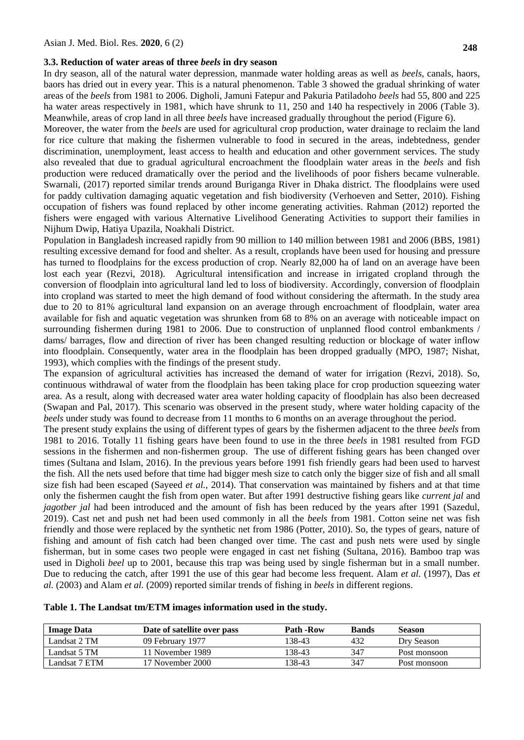## **3.3. Reduction of water areas of three** *beels* **in dry season**

In dry season, all of the natural water depression, manmade water holding areas as well as *beels*, canals, haors, baors has dried out in every year. This is a natural phenomenon. Table 3 showed the gradual shrinking of water areas of the *beels* from 1981 to 2006. Digholi, Jamuni Fatepur and Pakuria Patiladoho *beels* had 55, 800 and 225 ha water areas respectively in 1981, which have shrunk to 11, 250 and 140 ha respectively in 2006 (Table 3). Meanwhile, areas of crop land in all three *beels* have increased gradually throughout the period (Figure 6).

Moreover, the water from the *beels* are used for agricultural crop production, water drainage to reclaim the land for rice culture that making the fishermen vulnerable to food in secured in the areas, indebtedness, gender discrimination, unemployment, least access to health and education and other government services. The study also revealed that due to gradual agricultural encroachment the floodplain water areas in the *beels* and fish production were reduced dramatically over the period and the livelihoods of poor fishers became vulnerable. Swarnali, (2017) reported similar trends around Buriganga River in Dhaka district. The floodplains were used for paddy cultivation damaging aquatic vegetation and fish biodiversity (Verhoeven and Setter, 2010). Fishing occupation of fishers was found replaced by other income generating activities. Rahman (2012) reported the fishers were engaged with various Alternative Livelihood Generating Activities to support their families in Nijhum Dwip, Hatiya Upazila, Noakhali District.

Population in Bangladesh increased rapidly from 90 million to 140 million between 1981 and 2006 (BBS, 1981) resulting excessive demand for food and shelter. As a result, croplands have been used for housing and pressure has turned to floodplains for the excess production of crop. Nearly 82,000 ha of land on an average have been lost each year (Rezvi, 2018). Agricultural intensification and increase in irrigated cropland through the conversion of floodplain into agricultural land led to loss of biodiversity. Accordingly, conversion of floodplain into cropland was started to meet the high demand of food without considering the aftermath. In the study area due to 20 to 81% agricultural land expansion on an average through encroachment of floodplain, water area available for fish and aquatic vegetation was shrunken from 68 to 8% on an average with noticeable impact on surrounding fishermen during 1981 to 2006. Due to construction of unplanned flood control embankments / dams/ barrages, flow and direction of river has been changed resulting reduction or blockage of water inflow into floodplain. Consequently, water area in the floodplain has been dropped gradually (MPO, 1987; Nishat, 1993), which complies with the findings of the present study.

The expansion of agricultural activities has increased the demand of water for irrigation (Rezvi, 2018). So, continuous withdrawal of water from the floodplain has been taking place for crop production squeezing water area. As a result, along with decreased water area water holding capacity of floodplain has also been decreased (Swapan and Pal, 2017). This scenario was observed in the present study, where water holding capacity of the *beels* under study was found to decrease from 11 months to 6 months on an average throughout the period.

The present study explains the using of different types of gears by the fishermen adjacent to the three *beels* from 1981 to 2016. Totally 11 fishing gears have been found to use in the three *beels* in 1981 resulted from FGD sessions in the fishermen and non-fishermen group. The use of different fishing gears has been changed over times (Sultana and Islam, 2016). In the previous years before 1991 fish friendly gears had been used to harvest the fish. All the nets used before that time had bigger mesh size to catch only the bigger size of fish and all small size fish had been escaped (Sayeed *et al.,* 2014). That conservation was maintained by fishers and at that time only the fishermen caught the fish from open water. But after 1991 destructive fishing gears like *current jal* and *jagotber jal* had been introduced and the amount of fish has been reduced by the years after 1991 (Sazedul, 2019). Cast net and push net had been used commonly in all the *beels* from 1981. Cotton seine net was fish friendly and those were replaced by the synthetic net from 1986 (Potter, 2010). So, the types of gears, nature of fishing and amount of fish catch had been changed over time. The cast and push nets were used by single fisherman, but in some cases two people were engaged in cast net fishing (Sultana, 2016). Bamboo trap was used in Digholi *beel* up to 2001, because this trap was being used by single fisherman but in a small number. Due to reducing the catch, after 1991 the use of this gear had become less frequent. Alam *et al.* (1997), Das *et al.* (2003) and Alam *et al.* (2009) reported similar trends of fishing in *beels* in different regions.

| Table 1. The Landsat tm/ETM images information used in the study. |  |  |
|-------------------------------------------------------------------|--|--|
|-------------------------------------------------------------------|--|--|

| <b>Image Data</b> | Date of satellite over pass | Path -Row | <b>Bands</b> | <b>Season</b> |
|-------------------|-----------------------------|-----------|--------------|---------------|
| Landsat 2 TM      | 09 February 1977            | 138-43    | 432          | Dry Season    |
| Landsat 5 TM      | 11 November 1989            | 138-43    | 347          | Post monsoon  |
| Landsat 7 ETM     | 17 November 2000            | 138-43    | 347          | Post monsoon  |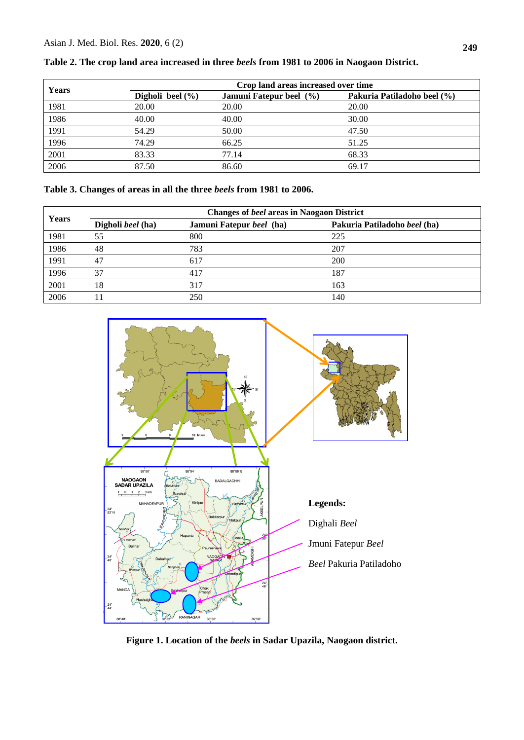| Years | Crop land areas increased over time |                         |                             |
|-------|-------------------------------------|-------------------------|-----------------------------|
|       | Digholi beel $(\% )$                | Jamuni Fatepur beel (%) | Pakuria Patiladoho beel (%) |
| 1981  | 20.00                               | 20.00                   | 20.00                       |
| 1986  | 40.00                               | 40.00                   | 30.00                       |
| 1991  | 54.29                               | 50.00                   | 47.50                       |
| 1996  | 74.29                               | 66.25                   | 51.25                       |
| 2001  | 83.33                               | 77.14                   | 68.33                       |
| 2006  | 87.50                               | 86.60                   | 69.17                       |

**Table 2. The crop land area increased in three** *beels* **from 1981 to 2006 in Naogaon District.** 

| Years | <b>Changes of beel areas in Naogaon District</b> |                          |                              |  |
|-------|--------------------------------------------------|--------------------------|------------------------------|--|
|       | Digholi beel (ha)                                | Jamuni Fatepur beel (ha) | Pakuria Patiladoho beel (ha) |  |
| 1981  | 55                                               | 800                      | 225                          |  |
| 1986  | 48                                               | 783                      | 207                          |  |
| 1991  | 47                                               | 617                      | 200                          |  |
| 1996  | 37                                               | 417                      | 187                          |  |
| 2001  | 18                                               | 317                      | 163                          |  |
| 2006  |                                                  | 250                      | 140                          |  |



**Figure 1. Location of the** *beels* **in Sadar Upazila, Naogaon district.**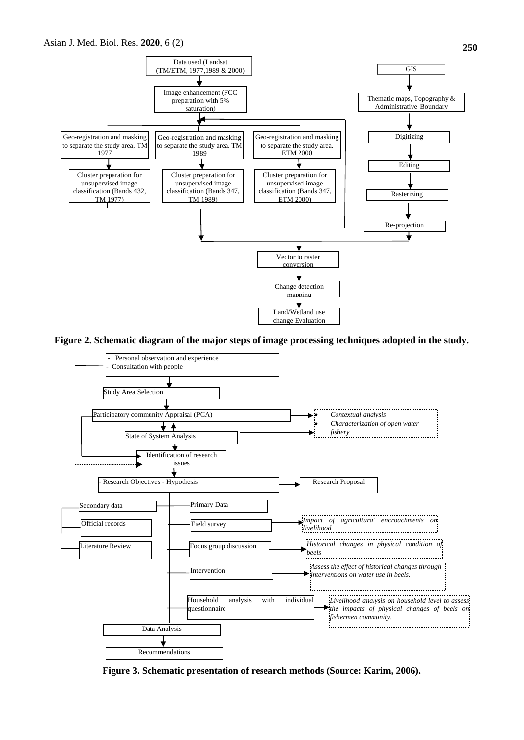

**Figure 2. Schematic diagram of the major steps of image processing techniques adopted in the study.**



**Figure 3. Schematic presentation of research methods (Source: Karim, 2006).**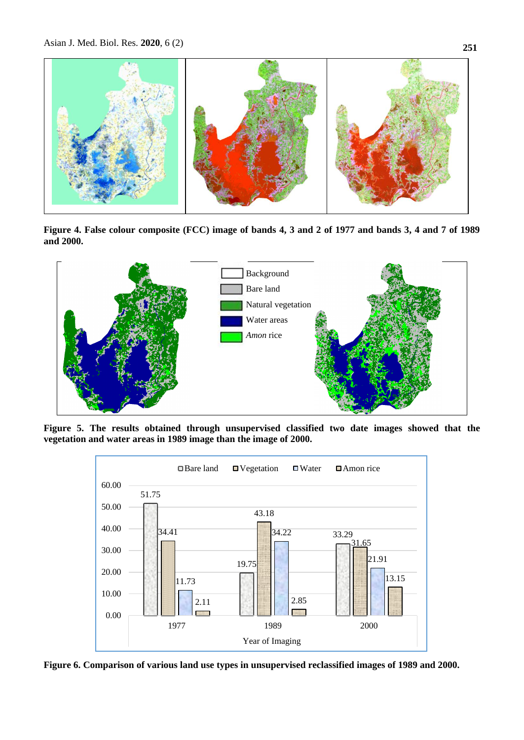

**Figure 4. False colour composite (FCC) image of bands 4, 3 and 2 of 1977 and bands 3, 4 and 7 of 1989 and 2000.**



**Figure 5. The results obtained through unsupervised classified two date images showed that the vegetation and water areas in 1989 image than the image of 2000.**



**Figure 6. Comparison of various land use types in unsupervised reclassified images of 1989 and 2000.**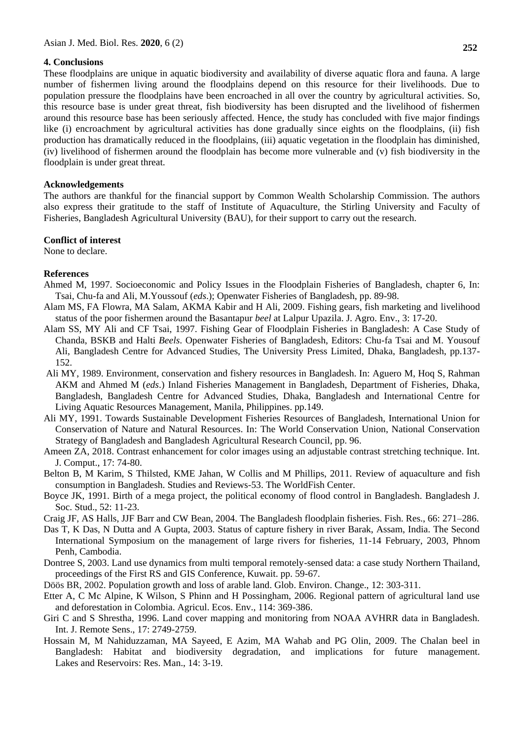### **4. Conclusions**

These floodplains are unique in aquatic biodiversity and availability of diverse aquatic flora and fauna. A large number of fishermen living around the floodplains depend on this resource for their livelihoods. Due to population pressure the floodplains have been encroached in all over the country by agricultural activities. So, this resource base is under great threat, fish biodiversity has been disrupted and the livelihood of fishermen around this resource base has been seriously affected. Hence, the study has concluded with five major findings like (i) encroachment by agricultural activities has done gradually since eights on the floodplains, (ii) fish production has dramatically reduced in the floodplains, (iii) aquatic vegetation in the floodplain has diminished, (iv) livelihood of fishermen around the floodplain has become more vulnerable and (v) fish biodiversity in the floodplain is under great threat.

## **Acknowledgements**

The authors are thankful for the financial support by Common Wealth Scholarship Commission. The authors also express their gratitude to the staff of Institute of Aquaculture, the Stirling University and Faculty of Fisheries, Bangladesh Agricultural University (BAU), for their support to carry out the research.

## **Conflict of interest**

None to declare.

## **References**

- Ahmed M, 1997. Socioeconomic and Policy Issues in the Floodplain Fisheries of Bangladesh, chapter 6, In: Tsai, Chu-fa and Ali, M.Youssouf (*eds*.); Openwater Fisheries of Bangladesh, pp. 89-98.
- Alam MS, FA Flowra, MA Salam, AKMA Kabir and H Ali, 2009. Fishing gears, fish marketing and livelihood status of the poor fishermen around the Basantapur *beel* at Lalpur Upazila. J. Agro. Env., 3: 17-20.
- Alam SS, MY Ali and CF Tsai, 1997. Fishing Gear of Floodplain Fisheries in Bangladesh: A Case Study of Chanda, BSKB and Halti *Beels*. Openwater Fisheries of Bangladesh, Editors: Chu-fa Tsai and M. Yousouf Ali, Bangladesh Centre for Advanced Studies, The University Press Limited, Dhaka, Bangladesh, pp.137- 152.
- Ali MY, 1989. Environment, conservation and fishery resources in Bangladesh. In: Aguero M, Hoq S, Rahman AKM and Ahmed M (*eds*.) Inland Fisheries Management in Bangladesh, Department of Fisheries, Dhaka, Bangladesh, Bangladesh Centre for Advanced Studies, Dhaka, Bangladesh and International Centre for Living Aquatic Resources Management, Manila, Philippines. pp.149.
- Ali MY, 1991. Towards Sustainable Development Fisheries Resources of Bangladesh, International Union for Conservation of Nature and Natural Resources. In: The World Conservation Union, National Conservation Strategy of Bangladesh and Bangladesh Agricultural Research Council, pp. 96.
- Ameen ZA, 2018. Contrast enhancement for color images using an adjustable contrast stretching technique. Int. J. Comput., 17: 74-80.
- Belton B, M Karim, S Thilsted, KME Jahan, W Collis and M Phillips, 2011. Review of aquaculture and fish consumption in Bangladesh. Studies and Reviews-53. The WorldFish Center.
- Boyce JK, 1991. Birth of a mega project, the political economy of flood control in Bangladesh. Bangladesh J. Soc. Stud., 52: 11-23.

Craig JF, AS Halls, JJF Barr and CW Bean, 2004. The Bangladesh floodplain fisheries. Fish. Res., 66: 271–286.

- Das T, K Das, N Dutta and A Gupta, 2003. Status of capture fishery in river Barak, Assam, India. The Second International Symposium on the management of large rivers for fisheries, 11-14 February, 2003, Phnom Penh, Cambodia.
- Dontree S, 2003. Land use dynamics from multi temporal remotely-sensed data: a case study Northern Thailand, proceedings of the First RS and GIS Conference, Kuwait. pp. 59-67.
- Döös BR, 2002. Population growth and loss of arable land. Glob. Environ. Change., 12: 303-311.
- Etter A, C Mc Alpine, K Wilson, S Phinn and H Possingham, 2006. Regional pattern of agricultural land use and deforestation in Colombia. Agricul. Ecos. Env., 114: 369-386.
- Giri C and S Shrestha, 1996. Land cover mapping and monitoring from NOAA AVHRR data in Bangladesh. Int. J. Remote Sens., 17: 2749-2759.
- Hossain M, M [Nahiduzzaman,](https://www.researchgate.net/profile/Md_Nahiduzzaman2?_sg%5B0%5D=ZSH-TEhYBs5csRSYrb1QEbifwkKmN1wYntTS8HayNRRmDQwfezTGfOnsvOYkuXMQbvPO0h0.XvR7I5aIHllzqM7EpwJqBHR53g2egNXqMSlYb1oWZlClUE9ZyoRwBoeYQOHTS26_L7wOw-iWXLX-zXxuHVr6GA&_sg%5B1%5D=_OJEpPAD1YqCtRRJlN5y3QkGYOfEPo-7Ggkb3jPojCknMwugml38Iq2WsjVqbXwnQlBkcn4.IrvV_30CufsCJUa9iurwOpM1zlPlU_wIZryRrqodMjH6Aue19H0VkpHG-2BH1UenwA0OhN1mUvUN0KN2pgWzdw) [MA Sayeed,](https://www.researchgate.net/profile/Md_Sayeed15?_sg%5B0%5D=ZSH-TEhYBs5csRSYrb1QEbifwkKmN1wYntTS8HayNRRmDQwfezTGfOnsvOYkuXMQbvPO0h0.XvR7I5aIHllzqM7EpwJqBHR53g2egNXqMSlYb1oWZlClUE9ZyoRwBoeYQOHTS26_L7wOw-iWXLX-zXxuHVr6GA&_sg%5B1%5D=_OJEpPAD1YqCtRRJlN5y3QkGYOfEPo-7Ggkb3jPojCknMwugml38Iq2WsjVqbXwnQlBkcn4.IrvV_30CufsCJUa9iurwOpM1zlPlU_wIZryRrqodMjH6Aue19H0VkpHG-2BH1UenwA0OhN1mUvUN0KN2pgWzdw) E [Azim,](https://www.researchgate.net/profile/Ekram_Azim) MA Wahab [a](https://www.researchgate.net/profile/Md_Wahab2)nd [PG Olin,](https://www.researchgate.net/profile/Paul_Olin?_sg%5B0%5D=ZSH-TEhYBs5csRSYrb1QEbifwkKmN1wYntTS8HayNRRmDQwfezTGfOnsvOYkuXMQbvPO0h0.XvR7I5aIHllzqM7EpwJqBHR53g2egNXqMSlYb1oWZlClUE9ZyoRwBoeYQOHTS26_L7wOw-iWXLX-zXxuHVr6GA&_sg%5B1%5D=_OJEpPAD1YqCtRRJlN5y3QkGYOfEPo-7Ggkb3jPojCknMwugml38Iq2WsjVqbXwnQlBkcn4.IrvV_30CufsCJUa9iurwOpM1zlPlU_wIZryRrqodMjH6Aue19H0VkpHG-2BH1UenwA0OhN1mUvUN0KN2pgWzdw) 2009. The Chalan beel in Bangladesh: Habitat and biodiversity degradation, and implications for future management. Lakes and Reservoirs: Res. Man., 14: 3-19.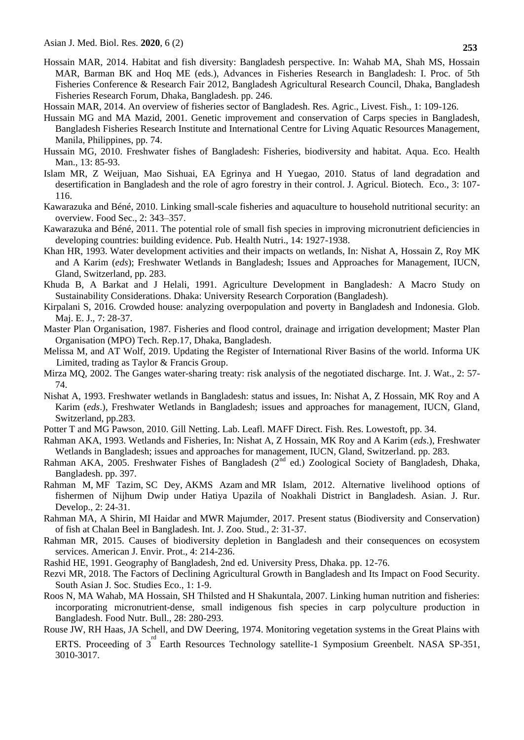- Hossain MAR, 2014. Habitat and fish diversity: Bangladesh perspective. In: Wahab MA, Shah MS, Hossain MAR, Barman BK and Hoq ME (eds.), Advances in Fisheries Research in Bangladesh: I. Proc. of 5th Fisheries Conference & Research Fair 2012, Bangladesh Agricultural Research Council, Dhaka, Bangladesh Fisheries Research Forum, Dhaka, Bangladesh. pp. 246.
- Hossain MAR, 2014. An overview of fisheries sector of Bangladesh. Res. Agric., Livest. Fish., 1: 109-126.
- Hussain MG and MA Mazid, 2001. Genetic improvement and conservation of Carps species in Bangladesh, Bangladesh Fisheries Research Institute and International Centre for Living Aquatic Resources Management, Manila, Philippines, pp. 74.
- Hussain MG, 2010. Freshwater fishes of Bangladesh: Fisheries, biodiversity and habitat. Aqua. Eco. Health Man., 13: 85-93.
- Islam MR, Z Weijuan, Mao Sishuai, EA Egrinya and H Yuegao, 2010. Status of land degradation and desertification in Bangladesh and the role of agro forestry in their control. J. Agricul. Biotech. Eco., 3: 107- 116.
- Kawarazuka and Béné, 2010. Linking small-scale fisheries and aquaculture to household nutritional security: an overview. Food Sec., 2: 343–357.
- Kawarazuka and Béné, 2011. The potential role of small fish species in improving micronutrient deficiencies in developing countries: building evidence. Pub. Health Nutri., 14: 1927-1938.
- Khan HR, 1993. Water development activities and their impacts on wetlands, In: Nishat A, Hossain Z, Roy MK and A Karim (*eds*); Freshwater Wetlands in Bangladesh; Issues and Approaches for Management, IUCN, Gland, Switzerland, pp. 283.
- Khuda B, A Barkat and J Helali, 1991. Agriculture Development in Bangladesh*:* A Macro Study on Sustainability Considerations. Dhaka: University Research Corporation (Bangladesh).
- Kirpalani S, 2016. Crowded house: analyzing overpopulation and poverty in Bangladesh and Indonesia. Glob. Maj. E. J., 7: 28-37.
- Master Plan Organisation, 1987. Fisheries and flood control, drainage and irrigation development; Master Plan Organisation (MPO) Tech. Rep.17, Dhaka, Bangladesh.
- [Melissa M,](https://www.tandfonline.com/author/McCracken%2C+Melissa) and AT Wolf[,](https://www.tandfonline.com/author/Wolf%2C+Aaron+T) 2019. Updating the Register of International River Basins of the world. Informa UK Limited, trading as Taylor & Francis Group.
- Mirza MQ, 2002. The Ganges water-sharing treaty: risk analysis of the negotiated discharge. Int. J. Wat., 2: 57- 74.
- Nishat A, 1993. Freshwater wetlands in Bangladesh: status and issues, In: Nishat A, Z Hossain, MK Roy and A Karim (*eds*.), Freshwater Wetlands in Bangladesh; issues and approaches for management, IUCN, Gland, Switzerland, pp.283.
- Potter T and MG Pawson, 2010. Gill Netting. Lab. Leafl. MAFF Direct. Fish. Res. Lowestoft, pp. 34.
- Rahman AKA, 1993. Wetlands and Fisheries, In: Nishat A, Z Hossain, MK Roy and A Karim (*eds*.), Freshwater Wetlands in Bangladesh; issues and approaches for management, IUCN, Gland, Switzerland. pp. 283.
- Rahman AKA, 2005. Freshwater Fishes of Bangladesh (2<sup>nd</sup> ed.) Zoological Society of Bangladesh, Dhaka, Bangladesh. pp. 397.
- Rahman M, MF Tazim, SC Dey, AKMS Azam and MR Islam, 2012. Alternative livelihood options of fishermen of Nijhum Dwip under Hatiya Upazila of Noakhali District in Bangladesh. Asian. J. Rur. Develop., 2: 24-31.
- Rahman MA, A Shirin, MI Haidar and MWR Majumder, 2017. Present status (Biodiversity and Conservation) of fish at Chalan Beel in Bangladesh. Int. J. Zoo. Stud., 2: 31-37.
- Rahman MR, 2015. Causes of biodiversity depletion in Bangladesh and their consequences on ecosystem services. American J. Envir. Prot., 4: 214-236.
- Rashid HE, 1991. Geography of Bangladesh, 2nd ed. University Press, Dhaka. pp. 12-76.
- Rezvi MR, 2018. The Factors of Declining Agricultural Growth in Bangladesh and Its Impact on Food Security. South Asian J. Soc. Studies Eco., 1: 1-9.
- Roos N, MA Wahab, MA Hossain, SH Thilsted and H Shakuntala, 2007. Linking human nutrition and fisheries: incorporating micronutrient-dense, small indigenous fish species in carp polyculture production in Bangladesh. Food Nutr. Bull., 28: 280-293.
- Rouse JW, RH Haas, JA Schell, and DW Deering, 1974. Monitoring vegetation systems in the Great Plains with ERTS. Proceeding of  $3^{rd}$  Earth Resources Technology satellite-1 Symposium Greenbelt. NASA SP-351, 3010-3017.